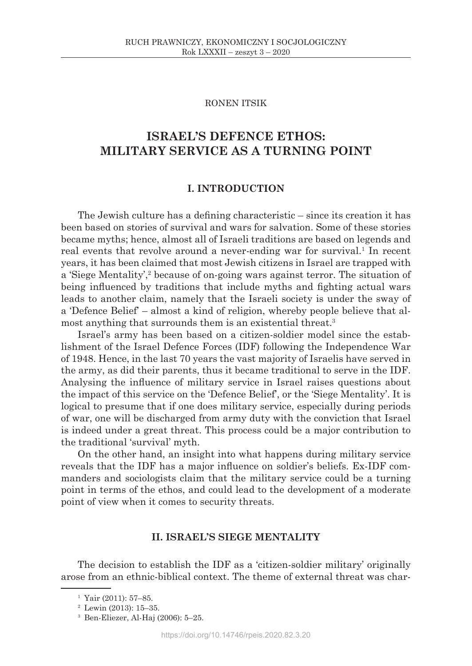## RONEN ITSIK

# **ISRAEL'S DEFENCE ETHOS: MILITARY SERVICE AS A TURNING POINT**

# **I. INTRODUCTION**

The Jewish culture has a defining characteristic – since its creation it has been based on stories of survival and wars for salvation. Some of these stories became myths; hence, almost all of Israeli traditions are based on legends and real events that revolve around a never-ending war for survival.<sup>1</sup> In recent years, it has been claimed that most Jewish citizens in Israel are trapped with a 'Siege Mentality',<sup>2</sup> because of on-going wars against terror. The situation of being influenced by traditions that include myths and fighting actual wars leads to another claim, namely that the Israeli society is under the sway of a 'Defence Belief' – almost a kind of religion, whereby people believe that almost anything that surrounds them is an existential threat.<sup>3</sup>

Israel's army has been based on a citizen-soldier model since the establishment of the Israel Defence Forces (IDF) following the Independence War of 1948. Hence, in the last 70 years the vast majority of Israelis have served in the army, as did their parents, thus it became traditional to serve in the IDF. Analysing the influence of military service in Israel raises questions about the impact of this service on the 'Defence Belief', or the 'Siege Mentality'. It is logical to presume that if one does military service, especially during periods of war, one will be discharged from army duty with the conviction that Israel is indeed under a great threat. This process could be a major contribution to the traditional 'survival' myth.

On the other hand, an insight into what happens during military service reveals that the IDF has a major influence on soldier's beliefs. Ex-IDF commanders and sociologists claim that the military service could be a turning point in terms of the ethos, and could lead to the development of a moderate point of view when it comes to security threats.

# **II. ISRAEL'S SIEGE MENTALITY**

The decision to establish the IDF as a 'citizen-soldier military' originally arose from an ethnic-biblical context. The theme of external threat was char-

 $1$  Yair (2011): 57–85.

<sup>2</sup> Lewin (2013): 15–35.

<sup>3</sup> Ben-Eliezer, Al-Haj (2006): 5–25.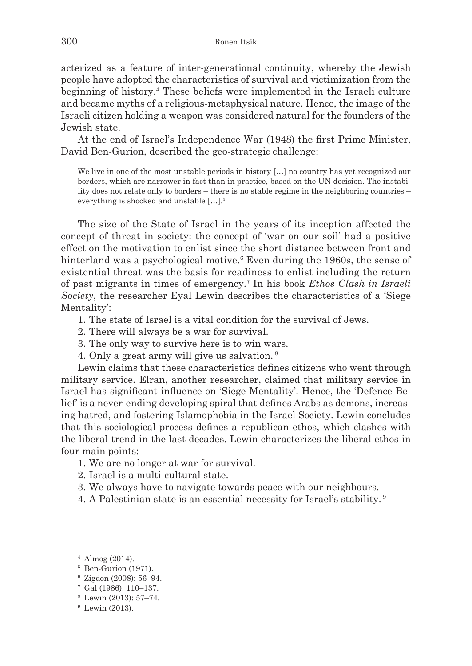acterized as a feature of inter-generational continuity, whereby the Jewish people have adopted the characteristics of survival and victimization from the beginning of history.4 These beliefs were implemented in the Israeli culture and became myths of a religious-metaphysical nature. Hence, the image of the Israeli citizen holding a weapon was considered natural for the founders of the Jewish state.

At the end of Israel's Independence War (1948) the first Prime Minister, David Ben-Gurion, described the geo-strategic challenge:

We live in one of the most unstable periods in history [...] no country has yet recognized our borders, which are narrower in fact than in practice, based on the UN decision. The instability does not relate only to borders – there is no stable regime in the neighboring countries – everything is shocked and unstable […].5

The size of the State of Israel in the years of its inception affected the concept of threat in society: the concept of 'war on our soil' had a positive effect on the motivation to enlist since the short distance between front and hinterland was a psychological motive.6 Even during the 1960s, the sense of existential threat was the basis for readiness to enlist including the return of past migrants in times of emergency.7 In his book *Ethos Clash in Israeli Society*, the researcher Eyal Lewin describes the characteristics of a 'Siege Mentality':

- 1. The state of Israel is a vital condition for the survival of Jews.
- 2. There will always be a war for survival.
- 3. The only way to survive here is to win wars.
- 4. Only a great army will give us salvation. <sup>8</sup>

Lewin claims that these characteristics defines citizens who went through military service. Elran, another researcher, claimed that military service in Israel has significant influence on 'Siege Mentality'. Hence, the 'Defence Belief' is a never-ending developing spiral that defines Arabs as demons, increasing hatred, and fostering Islamophobia in the Israel Society. Lewin concludes that this sociological process defines a republican ethos, which clashes with the liberal trend in the last decades. Lewin characterizes the liberal ethos in four main points:

- 1. We are no longer at war for survival.
- 2. Israel is a multi-cultural state.
- 3. We always have to navigate towards peace with our neighbours.
- 4. A Palestinian state is an essential necessity for Israel's stability. <sup>9</sup>

<sup>4</sup> Almog (2014).

<sup>5</sup> Ben-Gurion (1971).

<sup>6</sup> Zigdon (2008): 56–94.

<sup>7</sup> Gal (1986): 110–137.

<sup>8</sup> Lewin (2013): 57–74.

<sup>9</sup> Lewin (2013).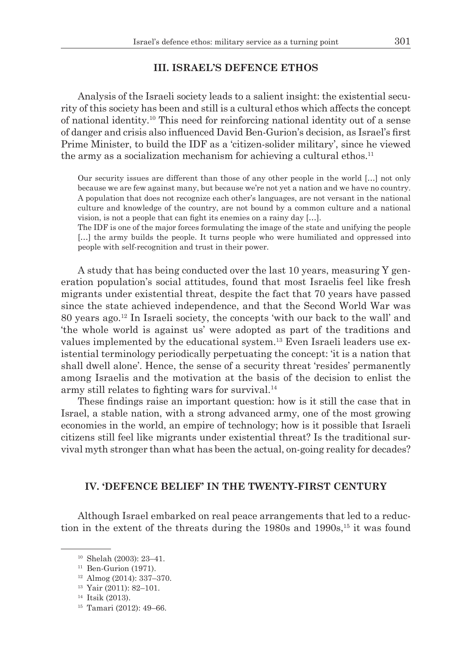### **III. ISRAEL'S DEFENCE ETHOS**

Analysis of the Israeli society leads to a salient insight: the existential security of this society has been and still is a cultural ethos which affects the concept of national identity.10 This need for reinforcing national identity out of a sense of danger and crisis also influenced David Ben-Gurion's decision, as Israel's first Prime Minister, to build the IDF as a 'citizen-solider military', since he viewed the army as a socialization mechanism for achieving a cultural ethos.<sup>11</sup>

Our security issues are different than those of any other people in the world […] not only because we are few against many, but because we're not yet a nation and we have no country. A population that does not recognize each other's languages, are not versant in the national culture and knowledge of the country, are not bound by a common culture and a national vision, is not a people that can fight its enemies on a rainy day […].

The IDF is one of the major forces formulating the image of the state and unifying the people [...] the army builds the people. It turns people who were humiliated and oppressed into people with self-recognition and trust in their power.

A study that has being conducted over the last 10 years, measuring Y generation population's social attitudes, found that most Israelis feel like fresh migrants under existential threat, despite the fact that 70 years have passed since the state achieved independence, and that the Second World War was 80 years ago.<sup>12</sup> In Israeli society, the concepts 'with our back to the wall' and 'the whole world is against us' were adopted as part of the traditions and values implemented by the educational system.13 Even Israeli leaders use existential terminology periodically perpetuating the concept: 'it is a nation that shall dwell alone'. Hence, the sense of a security threat 'resides' permanently among Israelis and the motivation at the basis of the decision to enlist the army still relates to fighting wars for survival.<sup>14</sup>

These findings raise an important question: how is it still the case that in Israel, a stable nation, with a strong advanced army, one of the most growing economies in the world, an empire of technology; how is it possible that Israeli citizens still feel like migrants under existential threat? Is the traditional survival myth stronger than what has been the actual, on-going reality for decades?

# **IV. 'DEFENCE BELIEF' IN THE TWENTY-FIRST CENTURY**

Although Israel embarked on real peace arrangements that led to a reduction in the extent of the threats during the 1980s and  $1990s$ ,<sup>15</sup> it was found

<sup>10</sup> Shelah (2003): 23–41.

<sup>&</sup>lt;sup>11</sup> Ben-Gurion (1971).

<sup>12</sup> Almog (2014): 337–370.

<sup>13</sup> Yair (2011): 82–101.

<sup>&</sup>lt;sup>14</sup> Itsik (2013).<br><sup>15</sup> Tamari (2012): 49–66.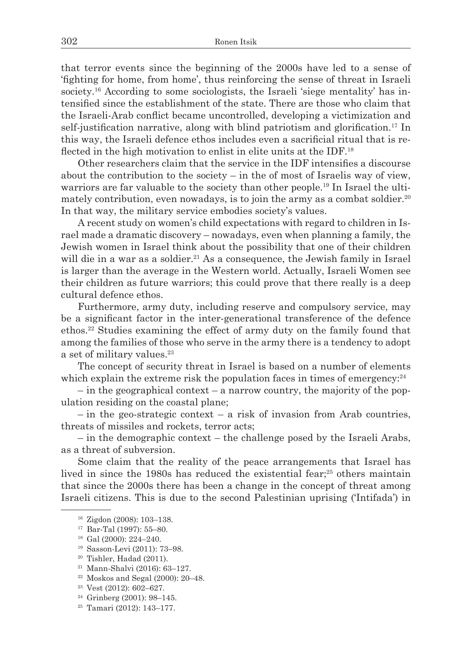that terror events since the beginning of the 2000s have led to a sense of 'fighting for home, from home', thus reinforcing the sense of threat in Israeli society.16 According to some sociologists, the Israeli 'siege mentality' has intensified since the establishment of the state. There are those who claim that the Israeli-Arab conflict became uncontrolled, developing a victimization and self-justification narrative, along with blind patriotism and glorification.17 In this way, the Israeli defence ethos includes even a sacrificial ritual that is reflected in the high motivation to enlist in elite units at the IDF.<sup>18</sup>

Other researchers claim that the service in the IDF intensifies a discourse about the contribution to the society – in the of most of Israelis way of view, warriors are far valuable to the society than other people.<sup>19</sup> In Israel the ultimately contribution, even nowadays, is to join the army as a combat soldier.<sup>20</sup> In that way, the military service embodies society's values.

A recent study on women's child expectations with regard to children in Israel made a dramatic discovery – nowadays, even when planning a family, the Jewish women in Israel think about the possibility that one of their children will die in a war as a soldier.<sup>21</sup> As a consequence, the Jewish family in Israel is larger than the average in the Western world. Actually, Israeli Women see their children as future warriors; this could prove that there really is a deep cultural defence ethos.

Furthermore, army duty, including reserve and compulsory service, may be a significant factor in the inter-generational transference of the defence ethos.<sup>22</sup> Studies examining the effect of army duty on the family found that among the families of those who serve in the army there is a tendency to adopt a set of military values.<sup>23</sup>

The concept of security threat in Israel is based on a number of elements which explain the extreme risk the population faces in times of emergency: $24$ 

– in the geographical context – a narrow country, the majority of the population residing on the coastal plane;

 $-$  in the geo-strategic context – a risk of invasion from Arab countries, threats of missiles and rockets, terror acts;

– in the demographic context – the challenge posed by the Israeli Arabs, as a threat of subversion.

Some claim that the reality of the peace arrangements that Israel has lived in since the 1980s has reduced the existential fear;<sup>25</sup> others maintain that since the 2000s there has been a change in the concept of threat among Israeli citizens. This is due to the second Palestinian uprising ('Intifada') in

17 Bar-Tal (1997): 55–80.<br><sup>18</sup> Gal (2000): 224–240.<br><sup>19</sup> Sasson-Levi (2011): 73–98.<br><sup>20</sup> Tishler, Hadad (2011).

<sup>22</sup> Moskos and Segal (2000): 20–48.

<sup>16</sup> Zigdon (2008): 103–138.

<sup>21</sup> Mann-Shalvi (2016): 63–127.

<sup>23</sup> Vest (2012): 602–627.

<sup>24</sup> Grinberg (2001): 98–145. 25 Tamari (2012): 143–177.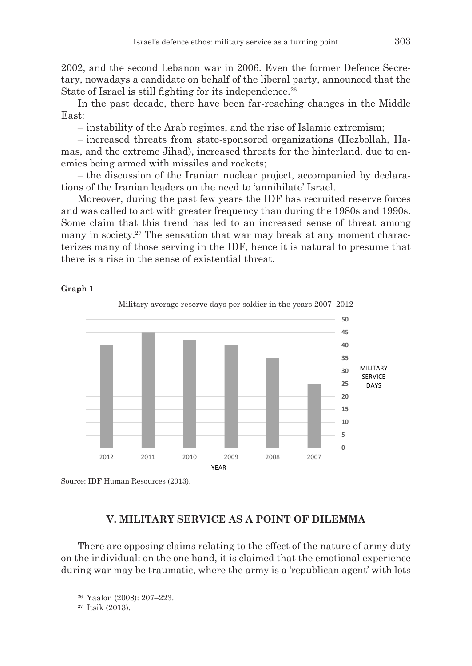2002, and the second Lebanon war in 2006. Even the former Defence Secretary, nowadays a candidate on behalf of the liberal party, announced that the State of Israel is still fighting for its independence.<sup>26</sup>

In the past decade, there have been far-reaching changes in the Middle East:

– instability of the Arab regimes, and the rise of Islamic extremism;

– increased threats from state-sponsored organizations (Hezbollah, Hamas, and the extreme Jihad), increased threats for the hinterland, due to enemies being armed with missiles and rockets;

– the discussion of the Iranian nuclear project, accompanied by declarations of the Iranian leaders on the need to 'annihilate' Israel.

Moreover, during the past few years the IDF has recruited reserve forces and was called to act with greater frequency than during the 1980s and 1990s. Some claim that this trend has led to an increased sense of threat among many in society.<sup>27</sup> The sensation that war may break at any moment characterizes many of those serving in the IDF, hence it is natural to presume that there is a rise in the sense of existential threat.

**Graph 1**





# **V. MILITARY SERVICE AS A POINT OF DILEMMA**

There are opposing claims relating to the effect of the nature of army duty on the individual: on the one hand, it is claimed that the emotional experience during war may be traumatic, where the army is a 'republican agent' with lots

<sup>26</sup> Yaalon (2008): 207–223.<br><sup>27</sup> Itsik (2013).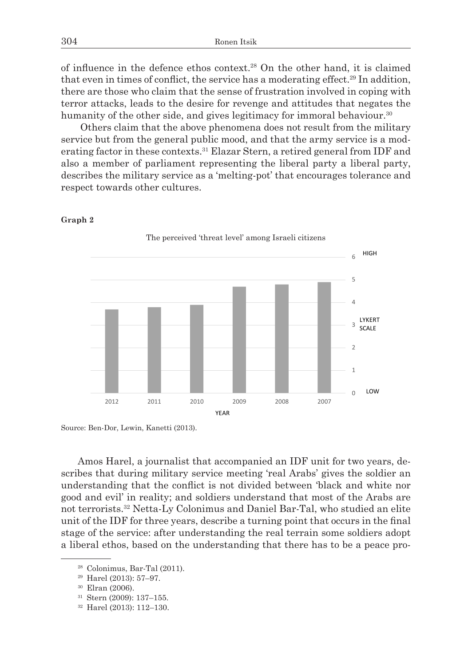of influence in the defence ethos context.28 On the other hand, it is claimed that even in times of conflict, the service has a moderating effect.<sup>29</sup> In addition, there are those who claim that the sense of frustration involved in coping with terror attacks, leads to the desire for revenge and attitudes that negates the humanity of the other side, and gives legitimacy for immoral behaviour.<sup>30</sup>

 Others claim that the above phenomena does not result from the military service but from the general public mood, and that the army service is a moderating factor in these contexts.<sup>31</sup> Elazar Stern, a retired general from IDF and also a member of parliament representing the liberal party a liberal party, describes the military service as a 'melting-pot' that encourages tolerance and respect towards other cultures.



**Graph 2**

Source: Ben-Dor, Lewin, Kanetti (2013).

Amos Harel, a journalist that accompanied an IDF unit for two years, describes that during military service meeting 'real Arabs' gives the soldier an understanding that the conflict is not divided between 'black and white nor good and evil' in reality; and soldiers understand that most of the Arabs are not terrorists.<sup>32</sup> Netta-Ly Colonimus and Daniel Bar-Tal, who studied an elite unit of the IDF for three years, describe a turning point that occurs in the final stage of the service: after understanding the real terrain some soldiers adopt a liberal ethos, based on the understanding that there has to be a peace pro-

<sup>31</sup> Stern (2009): 137–155.

<sup>&</sup>lt;sup>28</sup> Colonimus, Bar-Tal (2011).<br><sup>29</sup> Harel (2013): 57–97.<br><sup>30</sup> Elran (2006).

<sup>32</sup> Harel (2013): 112–130.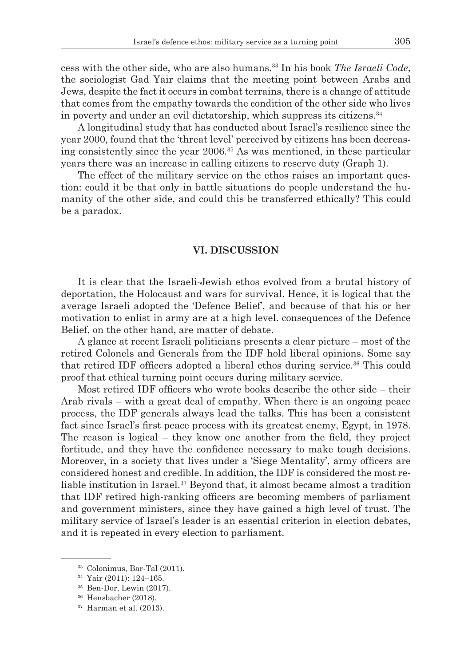cess with the other side, who are also humans.<sup>33</sup> In his book *The Israeli Code*, the sociologist Gad Yair claims that the meeting point between Arabs and Jews, despite the fact it occurs in combat terrains, there is a change of attitude that comes from the empathy towards the condition of the other side who lives in poverty and under an evil dictatorship, which suppress its citizens.<sup>34</sup>

A longitudinal study that has conducted about Israel's resilience since the year 2000, found that the 'threat level' perceived by citizens has been decreasing consistently since the year 2006.35 As was mentioned, in these particular years there was an increase in calling citizens to reserve duty (Graph 1).

The effect of the military service on the ethos raises an important question: could it be that only in battle situations do people understand the humanity of the other side, and could this be transferred ethically? This could be a paradox.

#### **VI. DISCUSSION**

It is clear that the Israeli-Jewish ethos evolved from a brutal history of deportation, the Holocaust and wars for survival. Hence, it is logical that the average Israeli adopted the 'Defence Belief', and because of that his or her motivation to enlist in army are at a high level. consequences of the Defence Belief, on the other hand, are matter of debate.

A glance at recent Israeli politicians presents a clear picture – most of the retired Colonels and Generals from the IDF hold liberal opinions. Some say that retired IDF officers adopted a liberal ethos during service.36 This could proof that ethical turning point occurs during military service.

Most retired IDF officers who wrote books describe the other side – their Arab rivals – with a great deal of empathy. When there is an ongoing peace process, the IDF generals always lead the talks. This has been a consistent fact since Israel's first peace process with its greatest enemy, Egypt, in 1978. The reason is logical – they know one another from the field, they project fortitude, and they have the confidence necessary to make tough decisions. Moreover, in a society that lives under a 'Siege Mentality', army officers are considered honest and credible. In addition, the IDF is considered the most reliable institution in Israel.37 Beyond that, it almost became almost a tradition that IDF retired high-ranking officers are becoming members of parliament and government ministers, since they have gained a high level of trust. The military service of Israel's leader is an essential criterion in election debates, and it is repeated in every election to parliament.

<sup>&</sup>lt;sup>33</sup> Colonimus, Bar-Tal (2011).<br><sup>34</sup> Yair (2011): 124–165.<br><sup>35</sup> Ben-Dor, Lewin (2017).<br><sup>36</sup> Hensbacher (2018).<br><sup>37</sup> Harman et al. (2013).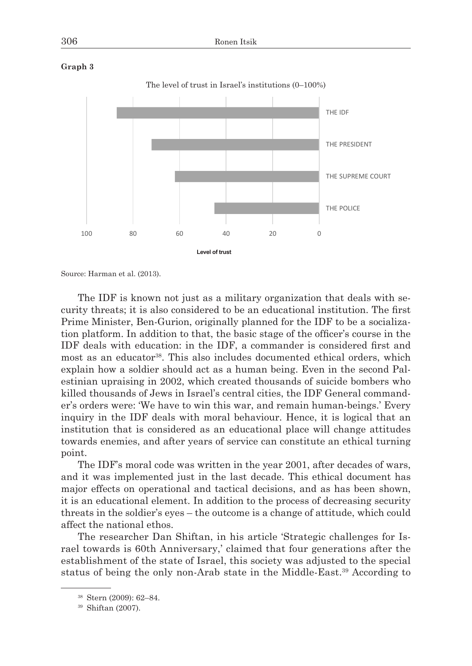



Source: Harman et al. (2013).

The IDF is known not just as a military organization that deals with security threats; it is also considered to be an educational institution. The first Prime Minister, Ben-Gurion, originally planned for the IDF to be a socialization platform. In addition to that, the basic stage of the officer's course in the IDF deals with education: in the IDF, a commander is considered first and most as an educator<sup>38</sup>. This also includes documented ethical orders, which explain how a soldier should act as a human being. Even in the second Palestinian upraising in 2002, which created thousands of suicide bombers who killed thousands of Jews in Israel's central cities, the IDF General commander's orders were: 'We have to win this war, and remain human-beings.' Every inquiry in the IDF deals with moral behaviour. Hence, it is logical that an institution that is considered as an educational place will change attitudes towards enemies, and after years of service can constitute an ethical turning point.

The IDF's moral code was written in the year 2001, after decades of wars, and it was implemented just in the last decade. This ethical document has major effects on operational and tactical decisions, and as has been shown, it is an educational element. In addition to the process of decreasing security threats in the soldier's eyes – the outcome is a change of attitude, which could affect the national ethos.

The researcher Dan Shiftan, in his article 'Strategic challenges for Israel towards is 60th Anniversary,' claimed that four generations after the establishment of the state of Israel, this society was adjusted to the special status of being the only non-Arab state in the Middle-East.39 According to

<sup>38</sup> Stern (2009): 62–84. 39 Shiftan (2007).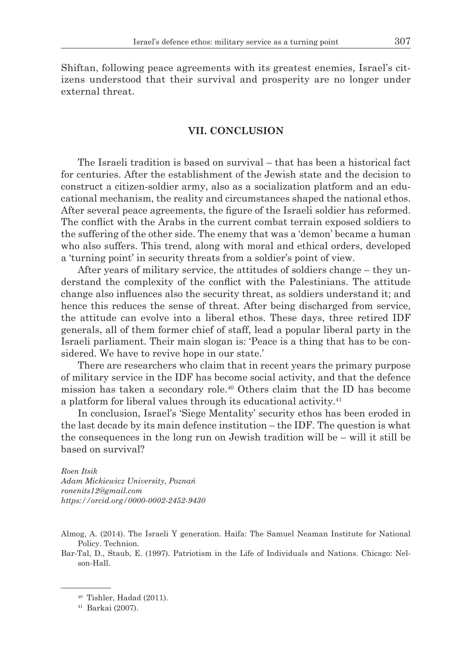Shiftan, following peace agreements with its greatest enemies, Israel's citizens understood that their survival and prosperity are no longer under external threat.

# **VII. CONCLUSION**

The Israeli tradition is based on survival – that has been a historical fact for centuries. After the establishment of the Jewish state and the decision to construct a citizen-soldier army, also as a socialization platform and an educational mechanism, the reality and circumstances shaped the national ethos. After several peace agreements, the figure of the Israeli soldier has reformed. The conflict with the Arabs in the current combat terrain exposed soldiers to the suffering of the other side. The enemy that was a 'demon' became a human who also suffers. This trend, along with moral and ethical orders, developed a 'turning point' in security threats from a soldier's point of view.

After years of military service, the attitudes of soldiers change – they understand the complexity of the conflict with the Palestinians. The attitude change also influences also the security threat, as soldiers understand it; and hence this reduces the sense of threat. After being discharged from service, the attitude can evolve into a liberal ethos. These days, three retired IDF generals, all of them former chief of staff, lead a popular liberal party in the Israeli parliament. Their main slogan is: 'Peace is a thing that has to be considered. We have to revive hope in our state.'

There are researchers who claim that in recent years the primary purpose of military service in the IDF has become social activity, and that the defence mission has taken a secondary role.40 Others claim that the ID has become a platform for liberal values through its educational activity.<sup>41</sup>

In conclusion, Israel's 'Siege Mentality' security ethos has been eroded in the last decade by its main defence institution – the IDF. The question is what the consequences in the long run on Jewish tradition will be – will it still be based on survival?

*Roen Itsik Adam Mickiewicz University, Poznań ronenits12@gmail.com https://orcid.org/0000-0002-2452-9430*

- Almog, A. (2014). The Israeli Y generation. Haifa: The Samuel Neaman Institute for National Policy. Technion.
- Bar-Tal, D., Staub, E. (1997). Patriotism in the Life of Individuals and Nations. Chicago: Nelson-Hall.

 $40$  Tishler, Hadad (2011).<br> $41$  Barkai (2007).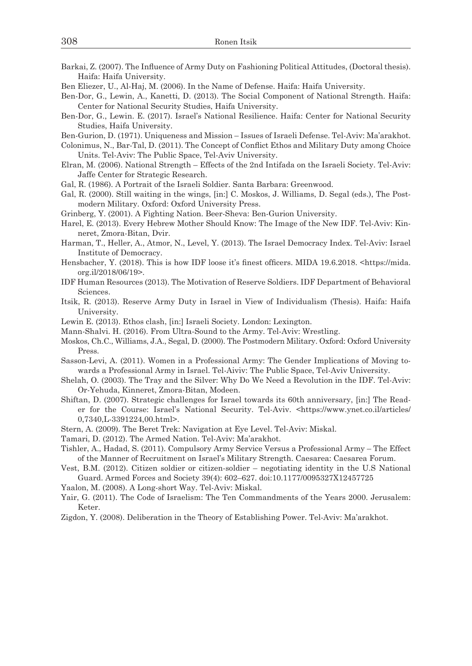- Barkai, Z. (2007). The Influence of Army Duty on Fashioning Political Attitudes, (Doctoral thesis). Haifa: Haifa University.
- Ben Eliezer, U., Al-Haj, M. (2006). In the Name of Defense. Haifa: Haifa University.
- Ben-Dor, G., Lewin, A., Kanetti, D. (2013). The Social Component of National Strength. Haifa: Center for National Security Studies, Haifa University.
- Ben-Dor, G., Lewin. E. (2017). Israel's National Resilience. Haifa: Center for National Security Studies, Haifa University.
- Ben-Gurion, D. (1971). Uniqueness and Mission Issues of Israeli Defense. Tel-Aviv: Ma'arakhot.
- Colonimus, N., Bar-Tal, D. (2011). The Concept of Conflict Ethos and Military Duty among Choice Units. Tel-Aviv: The Public Space, Tel-Aviv University.
- Elran, M. (2006). National Strength Effects of the 2nd Intifada on the Israeli Society. Tel-Aviv: Jaffe Center for Strategic Research.
- Gal, R. (1986). A Portrait of the Israeli Soldier. Santa Barbara: Greenwood.
- Gal, R. (2000). Still waiting in the wings, [in:] C. Moskos, J. Williams, D. Segal (eds.), The Postmodern Military. Oxford: Oxford University Press.
- Grinberg, Y. (2001). A Fighting Nation. Beer-Sheva: Ben-Gurion University.
- Harel, E. (2013). Every Hebrew Mother Should Know: The Image of the New IDF. Tel-Aviv: Kinneret, Zmora-Bitan, Dvir.
- Harman, T., Heller, A., Atmor, N., Level, Y. (2013). The Israel Democracy Index. Tel-Aviv: Israel Institute of Democracy.
- Hensbacher, Y. (2018). This is how IDF loose it's finest officers. MIDA 19.6.2018. <https://mida. org.il/2018/06/19>.
- IDF Human Resources (2013). The Motivation of Reserve Soldiers. IDF Department of Behavioral Sciences.
- Itsik, R. (2013). Reserve Army Duty in Israel in View of Individualism (Thesis). Haifa: Haifa University.
- Lewin E. (2013). Ethos clash, [in:] Israeli Society. London: Lexington.
- Mann-Shalvi. H. (2016). From Ultra-Sound to the Army. Tel-Aviv: Wrestling.
- Moskos, Ch.C., Williams, J.A., Segal, D. (2000). The Postmodern Military. Oxford: Oxford University Press.
- Sasson-Levi, A. (2011). Women in a Professional Army: The Gender Implications of Moving towards a Professional Army in Israel. Tel-Aiviv: The Public Space, Tel-Aviv University.
- Shelah, O. (2003). The Tray and the Silver: Why Do We Need a Revolution in the IDF. Tel-Aviv: Or-Yehuda, Kinneret, Zmora-Bitan, Modeen.
- Shiftan, D. (2007). Strategic challenges for Israel towards its 60th anniversary, [in:] The Reader for the Course: Israel's National Security. Tel-Aviv. <https://www.ynet.co.il/articles/ 0,7340,L-3391224,00.html>.
- Stern, A. (2009). The Beret Trek: Navigation at Eye Level. Tel-Aviv: Miskal.
- Tamari, D. (2012). The Armed Nation. Tel-Aviv: Ma'arakhot.
- Tishler, A., Hadad, S. (2011). Compulsory Army Service Versus a Professional Army The Effect of the Manner of Recruitment on Israel's Military Strength. Caesarea: Caesarea Forum.
- Vest, B.M. (2012). Citizen soldier or citizen-soldier negotiating identity in the U.S National Guard. Armed Forces and Society 39(4): 602–627. doi:10.1177/0095327X12457725
- Yaalon, M. (2008). A Long-short Way. Tel-Aviv: Miskal.
- Yair, G. (2011). The Code of Israelism: The Ten Commandments of the Years 2000. Jerusalem: Keter.
- Zigdon, Y. (2008). Deliberation in the Theory of Establishing Power. Tel-Aviv: Ma'arakhot.